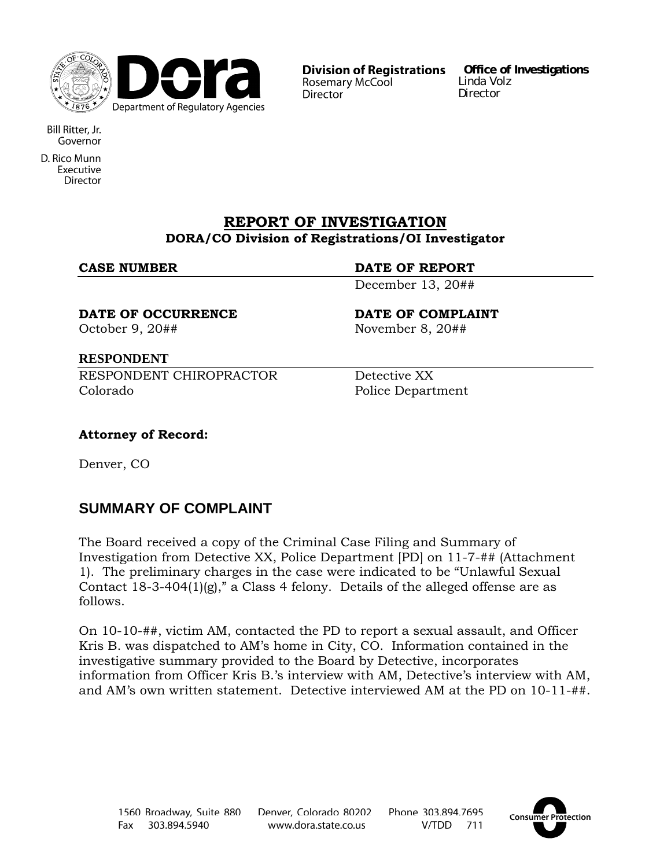

**Division of Registrations** Rosemary McCool **Director** 

**Office of Investigations**  Linda Volz Director

Bill Ritter, Jr. Governor

D. Rico Munn Executive **Director** 

## **REPORT OF INVESTIGATION DORA/CO Division of Registrations/OI Investigator**

## **CASE NUMBER DATE OF REPORT**

December 13, 20##

**DATE OF OCCURRENCE DATE OF COMPLAINT**  October 9, 20## November 8, 20##

## **RESPONDENT**

RESPONDENT CHIROPRACTOR Detective XX Colorado Police Department

## **Attorney of Record:**

Denver, CO

# **SUMMARY OF COMPLAINT**

The Board received a copy of the Criminal Case Filing and Summary of Investigation from Detective XX, Police Department [PD] on 11-7-## (Attachment 1). The preliminary charges in the case were indicated to be "Unlawful Sexual Contact 18-3-404(1)(g)," a Class 4 felony. Details of the alleged offense are as follows.

On 10-10-##, victim AM, contacted the PD to report a sexual assault, and Officer Kris B. was dispatched to AM's home in City, CO. Information contained in the investigative summary provided to the Board by Detective, incorporates information from Officer Kris B.'s interview with AM, Detective's interview with AM, and AM's own written statement. Detective interviewed AM at the PD on 10-11-##.

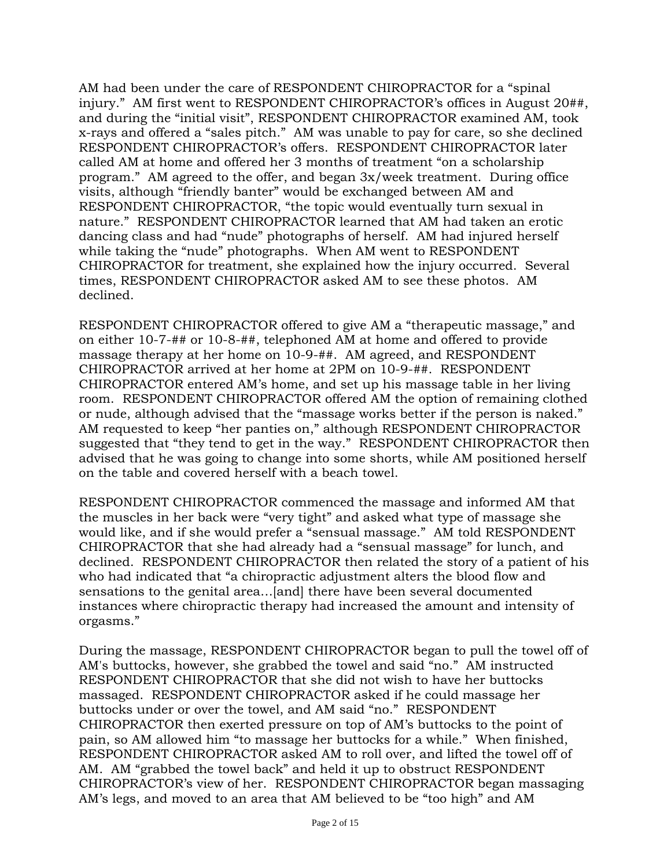AM had been under the care of RESPONDENT CHIROPRACTOR for a "spinal injury." AM first went to RESPONDENT CHIROPRACTOR's offices in August 20##, and during the "initial visit", RESPONDENT CHIROPRACTOR examined AM, took x-rays and offered a "sales pitch." AM was unable to pay for care, so she declined RESPONDENT CHIROPRACTOR's offers. RESPONDENT CHIROPRACTOR later called AM at home and offered her 3 months of treatment "on a scholarship program." AM agreed to the offer, and began 3x/week treatment. During office visits, although "friendly banter" would be exchanged between AM and RESPONDENT CHIROPRACTOR, "the topic would eventually turn sexual in nature." RESPONDENT CHIROPRACTOR learned that AM had taken an erotic dancing class and had "nude" photographs of herself. AM had injured herself while taking the "nude" photographs. When AM went to RESPONDENT CHIROPRACTOR for treatment, she explained how the injury occurred. Several times, RESPONDENT CHIROPRACTOR asked AM to see these photos. AM declined.

RESPONDENT CHIROPRACTOR offered to give AM a "therapeutic massage," and on either 10-7-## or 10-8-##, telephoned AM at home and offered to provide massage therapy at her home on 10-9-##. AM agreed, and RESPONDENT CHIROPRACTOR arrived at her home at 2PM on 10-9-##. RESPONDENT CHIROPRACTOR entered AM's home, and set up his massage table in her living room. RESPONDENT CHIROPRACTOR offered AM the option of remaining clothed or nude, although advised that the "massage works better if the person is naked." AM requested to keep "her panties on," although RESPONDENT CHIROPRACTOR suggested that "they tend to get in the way." RESPONDENT CHIROPRACTOR then advised that he was going to change into some shorts, while AM positioned herself on the table and covered herself with a beach towel.

RESPONDENT CHIROPRACTOR commenced the massage and informed AM that the muscles in her back were "very tight" and asked what type of massage she would like, and if she would prefer a "sensual massage." AM told RESPONDENT CHIROPRACTOR that she had already had a "sensual massage" for lunch, and declined. RESPONDENT CHIROPRACTOR then related the story of a patient of his who had indicated that "a chiropractic adjustment alters the blood flow and sensations to the genital area…[and] there have been several documented instances where chiropractic therapy had increased the amount and intensity of orgasms."

During the massage, RESPONDENT CHIROPRACTOR began to pull the towel off of AM's buttocks, however, she grabbed the towel and said "no." AM instructed RESPONDENT CHIROPRACTOR that she did not wish to have her buttocks massaged. RESPONDENT CHIROPRACTOR asked if he could massage her buttocks under or over the towel, and AM said "no." RESPONDENT CHIROPRACTOR then exerted pressure on top of AM's buttocks to the point of pain, so AM allowed him "to massage her buttocks for a while." When finished, RESPONDENT CHIROPRACTOR asked AM to roll over, and lifted the towel off of AM. AM "grabbed the towel back" and held it up to obstruct RESPONDENT CHIROPRACTOR's view of her. RESPONDENT CHIROPRACTOR began massaging AM's legs, and moved to an area that AM believed to be "too high" and AM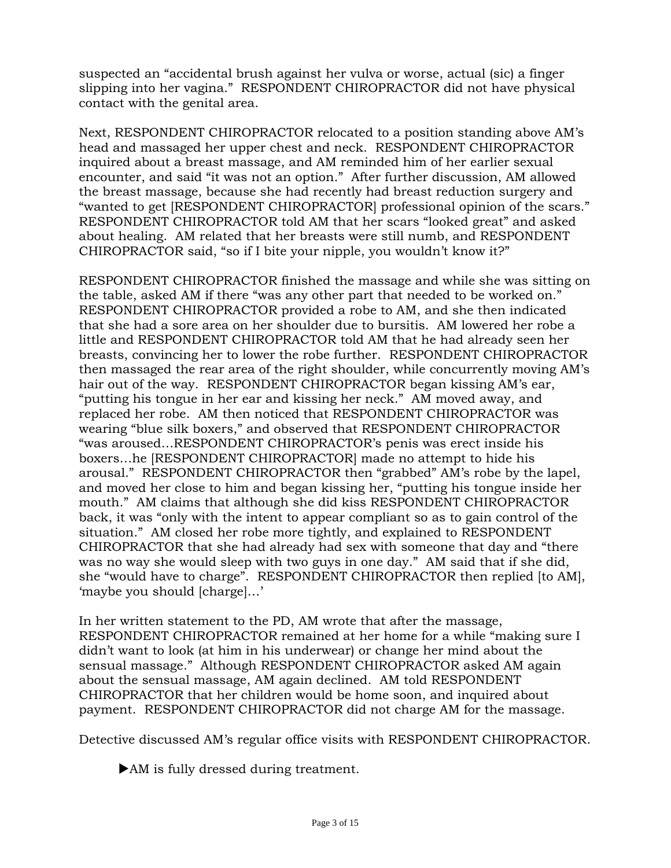suspected an "accidental brush against her vulva or worse, actual (sic) a finger slipping into her vagina." RESPONDENT CHIROPRACTOR did not have physical contact with the genital area.

Next, RESPONDENT CHIROPRACTOR relocated to a position standing above AM's head and massaged her upper chest and neck. RESPONDENT CHIROPRACTOR inquired about a breast massage, and AM reminded him of her earlier sexual encounter, and said "it was not an option." After further discussion, AM allowed the breast massage, because she had recently had breast reduction surgery and "wanted to get [RESPONDENT CHIROPRACTOR] professional opinion of the scars." RESPONDENT CHIROPRACTOR told AM that her scars "looked great" and asked about healing. AM related that her breasts were still numb, and RESPONDENT CHIROPRACTOR said, "so if I bite your nipple, you wouldn't know it?"

RESPONDENT CHIROPRACTOR finished the massage and while she was sitting on the table, asked AM if there "was any other part that needed to be worked on." RESPONDENT CHIROPRACTOR provided a robe to AM, and she then indicated that she had a sore area on her shoulder due to bursitis. AM lowered her robe a little and RESPONDENT CHIROPRACTOR told AM that he had already seen her breasts, convincing her to lower the robe further. RESPONDENT CHIROPRACTOR then massaged the rear area of the right shoulder, while concurrently moving AM's hair out of the way. RESPONDENT CHIROPRACTOR began kissing AM's ear, "putting his tongue in her ear and kissing her neck." AM moved away, and replaced her robe. AM then noticed that RESPONDENT CHIROPRACTOR was wearing "blue silk boxers," and observed that RESPONDENT CHIROPRACTOR "was aroused…RESPONDENT CHIROPRACTOR's penis was erect inside his boxers…he [RESPONDENT CHIROPRACTOR] made no attempt to hide his arousal." RESPONDENT CHIROPRACTOR then "grabbed" AM's robe by the lapel, and moved her close to him and began kissing her, "putting his tongue inside her mouth." AM claims that although she did kiss RESPONDENT CHIROPRACTOR back, it was "only with the intent to appear compliant so as to gain control of the situation." AM closed her robe more tightly, and explained to RESPONDENT CHIROPRACTOR that she had already had sex with someone that day and "there was no way she would sleep with two guys in one day." AM said that if she did, she "would have to charge". RESPONDENT CHIROPRACTOR then replied [to AM], 'maybe you should [charge]…'

In her written statement to the PD, AM wrote that after the massage, RESPONDENT CHIROPRACTOR remained at her home for a while "making sure I didn't want to look (at him in his underwear) or change her mind about the sensual massage." Although RESPONDENT CHIROPRACTOR asked AM again about the sensual massage, AM again declined. AM told RESPONDENT CHIROPRACTOR that her children would be home soon, and inquired about payment. RESPONDENT CHIROPRACTOR did not charge AM for the massage.

Detective discussed AM's regular office visits with RESPONDENT CHIROPRACTOR.

• AM is fully dressed during treatment.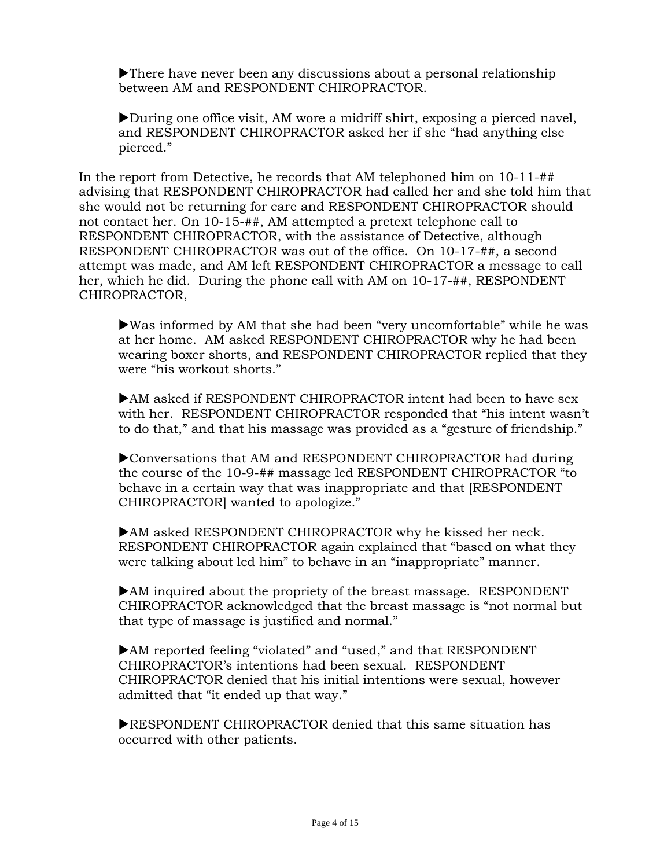$\blacktriangleright$  There have never been any discussions about a personal relationship between AM and RESPONDENT CHIROPRACTOR.

 $\blacktriangleright$  During one office visit, AM wore a midriff shirt, exposing a pierced navel, and RESPONDENT CHIROPRACTOR asked her if she "had anything else pierced."

In the report from Detective, he records that AM telephoned him on 10-11-## advising that RESPONDENT CHIROPRACTOR had called her and she told him that she would not be returning for care and RESPONDENT CHIROPRACTOR should not contact her. On 10-15-##, AM attempted a pretext telephone call to RESPONDENT CHIROPRACTOR, with the assistance of Detective, although RESPONDENT CHIROPRACTOR was out of the office. On 10-17-##, a second attempt was made, and AM left RESPONDENT CHIROPRACTOR a message to call her, which he did. During the phone call with AM on 10-17-##, RESPONDENT CHIROPRACTOR,

 $\blacktriangleright$  Was informed by AM that she had been "very uncomfortable" while he was at her home. AM asked RESPONDENT CHIROPRACTOR why he had been wearing boxer shorts, and RESPONDENT CHIROPRACTOR replied that they were "his workout shorts."

 $\blacktriangleright$ AM asked if RESPONDENT CHIROPRACTOR intent had been to have sex with her. RESPONDENT CHIROPRACTOR responded that "his intent wasn't to do that," and that his massage was provided as a "gesture of friendship."

XConversations that AM and RESPONDENT CHIROPRACTOR had during the course of the 10-9-## massage led RESPONDENT CHIROPRACTOR "to behave in a certain way that was inappropriate and that [RESPONDENT CHIROPRACTOR] wanted to apologize."

 $\blacktriangleright$ AM asked RESPONDENT CHIROPRACTOR why he kissed her neck. RESPONDENT CHIROPRACTOR again explained that "based on what they were talking about led him" to behave in an "inappropriate" manner.

 $\blacktriangleright$  AM inquired about the propriety of the breast massage. RESPONDENT CHIROPRACTOR acknowledged that the breast massage is "not normal but that type of massage is justified and normal."

▶AM reported feeling "violated" and "used," and that RESPONDENT CHIROPRACTOR's intentions had been sexual. RESPONDENT CHIROPRACTOR denied that his initial intentions were sexual, however admitted that "it ended up that way."

 $\blacktriangleright$ RESPONDENT CHIROPRACTOR denied that this same situation has occurred with other patients.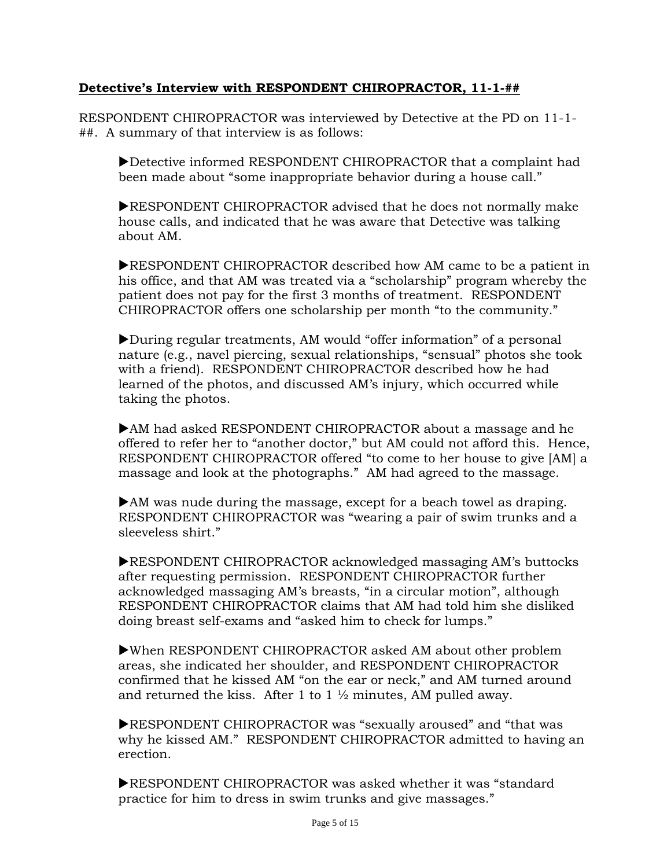## **Detective's Interview with RESPONDENT CHIROPRACTOR, 11-1-##**

RESPONDENT CHIROPRACTOR was interviewed by Detective at the PD on 11-1- ##. A summary of that interview is as follows:

Detective informed RESPONDENT CHIROPRACTOR that a complaint had been made about "some inappropriate behavior during a house call."

**EXPONDENT CHIROPRACTOR advised that he does not normally make** house calls, and indicated that he was aware that Detective was talking about AM.

**EXPONDENT CHIROPRACTOR described how AM came to be a patient in** his office, and that AM was treated via a "scholarship" program whereby the patient does not pay for the first 3 months of treatment. RESPONDENT CHIROPRACTOR offers one scholarship per month "to the community."

During regular treatments, AM would "offer information" of a personal nature (e.g., navel piercing, sexual relationships, "sensual" photos she took with a friend). RESPONDENT CHIROPRACTOR described how he had learned of the photos, and discussed AM's injury, which occurred while taking the photos.

 $\blacktriangleright$ AM had asked RESPONDENT CHIROPRACTOR about a massage and he offered to refer her to "another doctor," but AM could not afford this. Hence, RESPONDENT CHIROPRACTOR offered "to come to her house to give [AM] a massage and look at the photographs." AM had agreed to the massage.

 $\blacktriangleright$  AM was nude during the massage, except for a beach towel as draping. RESPONDENT CHIROPRACTOR was "wearing a pair of swim trunks and a sleeveless shirt."

**EXPONDENT CHIROPRACTOR acknowledged massaging AM's buttocks** after requesting permission. RESPONDENT CHIROPRACTOR further acknowledged massaging AM's breasts, "in a circular motion", although RESPONDENT CHIROPRACTOR claims that AM had told him she disliked doing breast self-exams and "asked him to check for lumps."

 $\blacktriangleright$  When RESPONDENT CHIROPRACTOR asked AM about other problem areas, she indicated her shoulder, and RESPONDENT CHIROPRACTOR confirmed that he kissed AM "on the ear or neck," and AM turned around and returned the kiss. After 1 to 1  $\frac{1}{2}$  minutes, AM pulled away.

**EXPONDENT CHIROPRACTOR was "sexually aroused" and "that was** why he kissed AM." RESPONDENT CHIROPRACTOR admitted to having an erection.

**EXPONDENT CHIROPRACTOR was asked whether it was "standard"** practice for him to dress in swim trunks and give massages."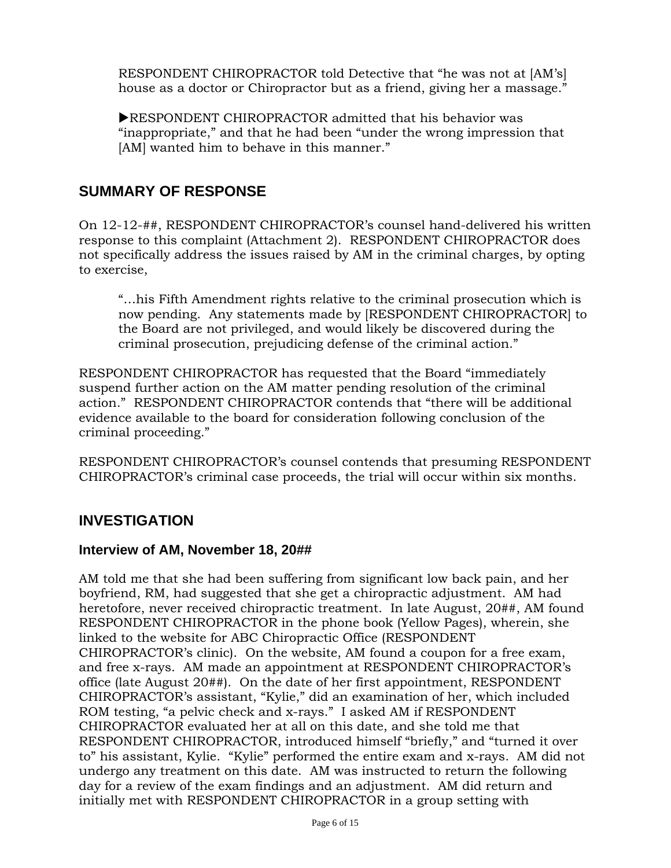RESPONDENT CHIROPRACTOR told Detective that "he was not at [AM's] house as a doctor or Chiropractor but as a friend, giving her a massage."

**EXPONDENT CHIROPRACTOR admitted that his behavior was** "inappropriate," and that he had been "under the wrong impression that [AM] wanted him to behave in this manner."

## **SUMMARY OF RESPONSE**

On 12-12-##, RESPONDENT CHIROPRACTOR's counsel hand-delivered his written response to this complaint (Attachment 2). RESPONDENT CHIROPRACTOR does not specifically address the issues raised by AM in the criminal charges, by opting to exercise,

"…his Fifth Amendment rights relative to the criminal prosecution which is now pending. Any statements made by [RESPONDENT CHIROPRACTOR] to the Board are not privileged, and would likely be discovered during the criminal prosecution, prejudicing defense of the criminal action."

RESPONDENT CHIROPRACTOR has requested that the Board "immediately suspend further action on the AM matter pending resolution of the criminal action." RESPONDENT CHIROPRACTOR contends that "there will be additional evidence available to the board for consideration following conclusion of the criminal proceeding."

RESPONDENT CHIROPRACTOR's counsel contends that presuming RESPONDENT CHIROPRACTOR's criminal case proceeds, the trial will occur within six months.

## **INVESTIGATION**

#### **Interview of AM, November 18, 20##**

AM told me that she had been suffering from significant low back pain, and her boyfriend, RM, had suggested that she get a chiropractic adjustment. AM had heretofore, never received chiropractic treatment. In late August, 20##, AM found RESPONDENT CHIROPRACTOR in the phone book (Yellow Pages), wherein, she linked to the website for ABC Chiropractic Office (RESPONDENT CHIROPRACTOR's clinic). On the website, AM found a coupon for a free exam, and free x-rays. AM made an appointment at RESPONDENT CHIROPRACTOR's office (late August 20##). On the date of her first appointment, RESPONDENT CHIROPRACTOR's assistant, "Kylie," did an examination of her, which included ROM testing, "a pelvic check and x-rays." I asked AM if RESPONDENT CHIROPRACTOR evaluated her at all on this date, and she told me that RESPONDENT CHIROPRACTOR, introduced himself "briefly," and "turned it over to" his assistant, Kylie. "Kylie" performed the entire exam and x-rays. AM did not undergo any treatment on this date. AM was instructed to return the following day for a review of the exam findings and an adjustment. AM did return and initially met with RESPONDENT CHIROPRACTOR in a group setting with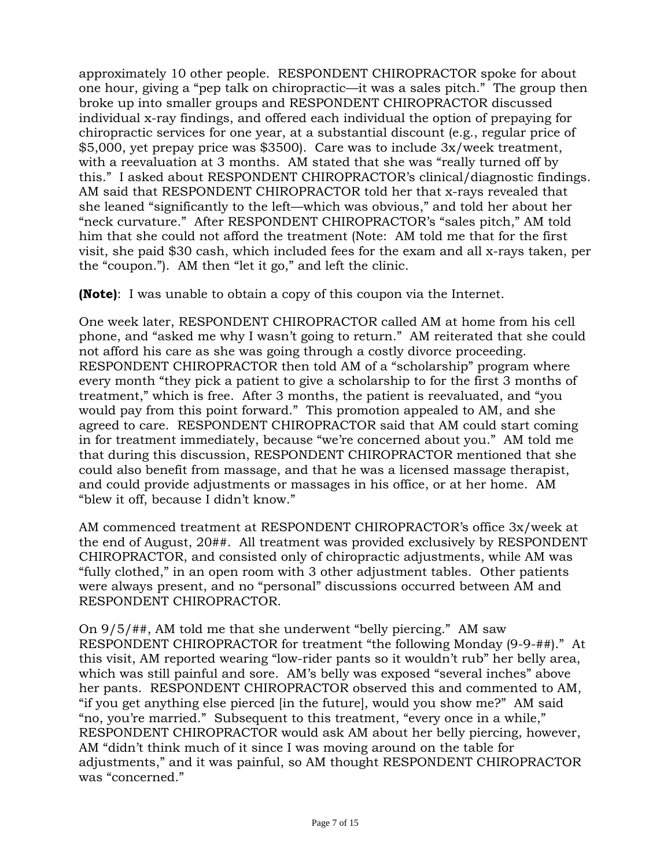approximately 10 other people. RESPONDENT CHIROPRACTOR spoke for about one hour, giving a "pep talk on chiropractic—it was a sales pitch." The group then broke up into smaller groups and RESPONDENT CHIROPRACTOR discussed individual x-ray findings, and offered each individual the option of prepaying for chiropractic services for one year, at a substantial discount (e.g., regular price of \$5,000, yet prepay price was \$3500). Care was to include 3x/week treatment, with a reevaluation at 3 months. AM stated that she was "really turned off by this." I asked about RESPONDENT CHIROPRACTOR's clinical/diagnostic findings. AM said that RESPONDENT CHIROPRACTOR told her that x-rays revealed that she leaned "significantly to the left—which was obvious," and told her about her "neck curvature." After RESPONDENT CHIROPRACTOR's "sales pitch," AM told him that she could not afford the treatment (Note: AM told me that for the first visit, she paid \$30 cash, which included fees for the exam and all x-rays taken, per the "coupon."). AM then "let it go," and left the clinic.

**(Note)**: I was unable to obtain a copy of this coupon via the Internet.

One week later, RESPONDENT CHIROPRACTOR called AM at home from his cell phone, and "asked me why I wasn't going to return." AM reiterated that she could not afford his care as she was going through a costly divorce proceeding. RESPONDENT CHIROPRACTOR then told AM of a "scholarship" program where every month "they pick a patient to give a scholarship to for the first 3 months of treatment," which is free. After 3 months, the patient is reevaluated, and "you would pay from this point forward." This promotion appealed to AM, and she agreed to care. RESPONDENT CHIROPRACTOR said that AM could start coming in for treatment immediately, because "we're concerned about you." AM told me that during this discussion, RESPONDENT CHIROPRACTOR mentioned that she could also benefit from massage, and that he was a licensed massage therapist, and could provide adjustments or massages in his office, or at her home. AM "blew it off, because I didn't know."

AM commenced treatment at RESPONDENT CHIROPRACTOR's office 3x/week at the end of August, 20##. All treatment was provided exclusively by RESPONDENT CHIROPRACTOR, and consisted only of chiropractic adjustments, while AM was "fully clothed," in an open room with 3 other adjustment tables. Other patients were always present, and no "personal" discussions occurred between AM and RESPONDENT CHIROPRACTOR.

On 9/5/##, AM told me that she underwent "belly piercing." AM saw RESPONDENT CHIROPRACTOR for treatment "the following Monday (9-9-##)." At this visit, AM reported wearing "low-rider pants so it wouldn't rub" her belly area, which was still painful and sore. AM's belly was exposed "several inches" above her pants. RESPONDENT CHIROPRACTOR observed this and commented to AM, "if you get anything else pierced [in the future], would you show me?" AM said "no, you're married." Subsequent to this treatment, "every once in a while," RESPONDENT CHIROPRACTOR would ask AM about her belly piercing, however, AM "didn't think much of it since I was moving around on the table for adjustments," and it was painful, so AM thought RESPONDENT CHIROPRACTOR was "concerned."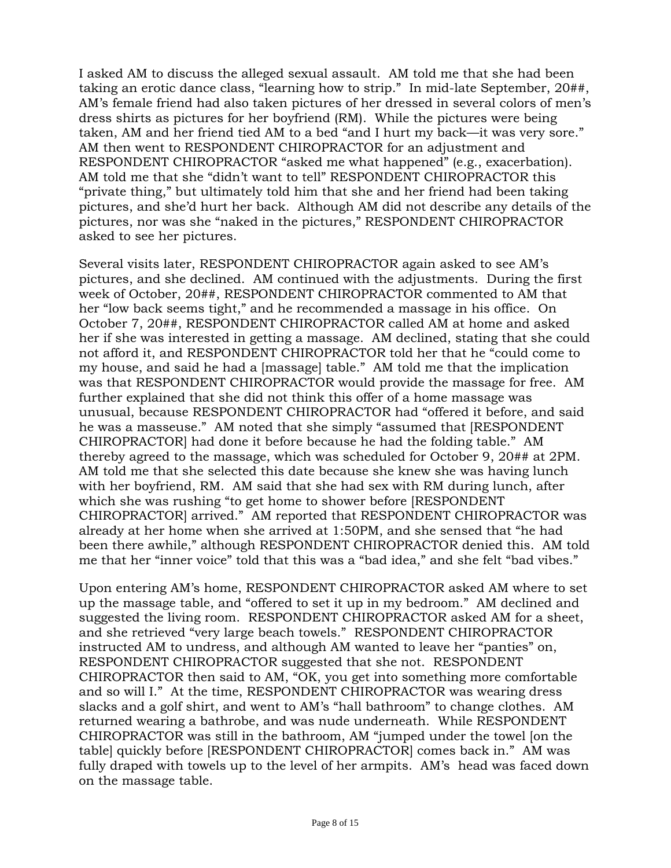I asked AM to discuss the alleged sexual assault. AM told me that she had been taking an erotic dance class, "learning how to strip." In mid-late September, 20##, AM's female friend had also taken pictures of her dressed in several colors of men's dress shirts as pictures for her boyfriend (RM). While the pictures were being taken, AM and her friend tied AM to a bed "and I hurt my back—it was very sore." AM then went to RESPONDENT CHIROPRACTOR for an adjustment and RESPONDENT CHIROPRACTOR "asked me what happened" (e.g., exacerbation). AM told me that she "didn't want to tell" RESPONDENT CHIROPRACTOR this "private thing," but ultimately told him that she and her friend had been taking pictures, and she'd hurt her back. Although AM did not describe any details of the pictures, nor was she "naked in the pictures," RESPONDENT CHIROPRACTOR asked to see her pictures.

Several visits later, RESPONDENT CHIROPRACTOR again asked to see AM's pictures, and she declined. AM continued with the adjustments. During the first week of October, 20##, RESPONDENT CHIROPRACTOR commented to AM that her "low back seems tight," and he recommended a massage in his office. On October 7, 20##, RESPONDENT CHIROPRACTOR called AM at home and asked her if she was interested in getting a massage. AM declined, stating that she could not afford it, and RESPONDENT CHIROPRACTOR told her that he "could come to my house, and said he had a [massage] table." AM told me that the implication was that RESPONDENT CHIROPRACTOR would provide the massage for free. AM further explained that she did not think this offer of a home massage was unusual, because RESPONDENT CHIROPRACTOR had "offered it before, and said he was a masseuse." AM noted that she simply "assumed that [RESPONDENT CHIROPRACTOR] had done it before because he had the folding table." AM thereby agreed to the massage, which was scheduled for October 9, 20## at 2PM. AM told me that she selected this date because she knew she was having lunch with her boyfriend, RM. AM said that she had sex with RM during lunch, after which she was rushing "to get home to shower before [RESPONDENT CHIROPRACTOR] arrived." AM reported that RESPONDENT CHIROPRACTOR was already at her home when she arrived at 1:50PM, and she sensed that "he had been there awhile," although RESPONDENT CHIROPRACTOR denied this. AM told me that her "inner voice" told that this was a "bad idea," and she felt "bad vibes."

Upon entering AM's home, RESPONDENT CHIROPRACTOR asked AM where to set up the massage table, and "offered to set it up in my bedroom." AM declined and suggested the living room. RESPONDENT CHIROPRACTOR asked AM for a sheet, and she retrieved "very large beach towels." RESPONDENT CHIROPRACTOR instructed AM to undress, and although AM wanted to leave her "panties" on, RESPONDENT CHIROPRACTOR suggested that she not. RESPONDENT CHIROPRACTOR then said to AM, "OK, you get into something more comfortable and so will I." At the time, RESPONDENT CHIROPRACTOR was wearing dress slacks and a golf shirt, and went to AM's "hall bathroom" to change clothes. AM returned wearing a bathrobe, and was nude underneath. While RESPONDENT CHIROPRACTOR was still in the bathroom, AM "jumped under the towel [on the table] quickly before [RESPONDENT CHIROPRACTOR] comes back in." AM was fully draped with towels up to the level of her armpits. AM's head was faced down on the massage table.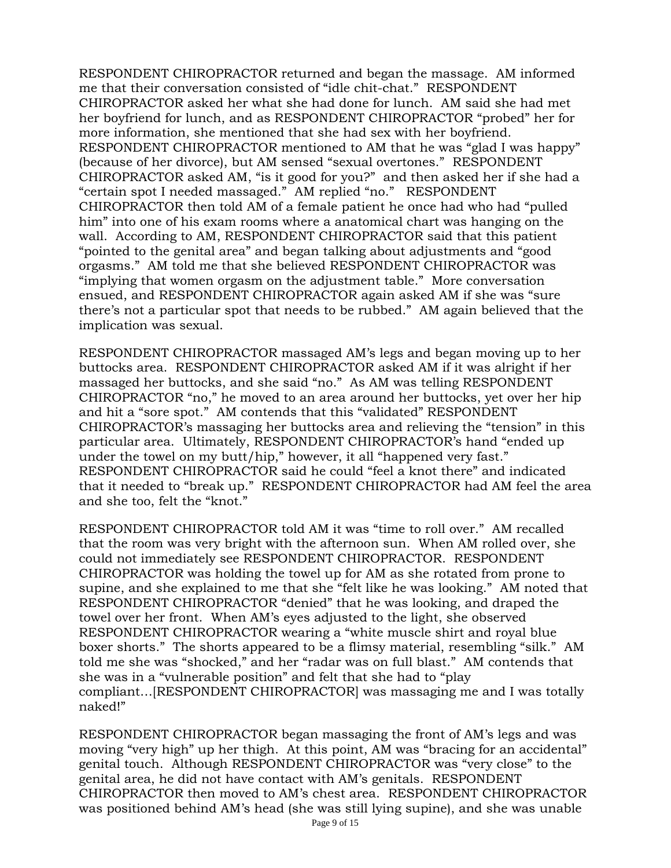RESPONDENT CHIROPRACTOR returned and began the massage. AM informed me that their conversation consisted of "idle chit-chat." RESPONDENT CHIROPRACTOR asked her what she had done for lunch. AM said she had met her boyfriend for lunch, and as RESPONDENT CHIROPRACTOR "probed" her for more information, she mentioned that she had sex with her boyfriend. RESPONDENT CHIROPRACTOR mentioned to AM that he was "glad I was happy" (because of her divorce), but AM sensed "sexual overtones." RESPONDENT CHIROPRACTOR asked AM, "is it good for you?" and then asked her if she had a "certain spot I needed massaged." AM replied "no." RESPONDENT CHIROPRACTOR then told AM of a female patient he once had who had "pulled him" into one of his exam rooms where a anatomical chart was hanging on the wall. According to AM, RESPONDENT CHIROPRACTOR said that this patient "pointed to the genital area" and began talking about adjustments and "good orgasms." AM told me that she believed RESPONDENT CHIROPRACTOR was "implying that women orgasm on the adjustment table." More conversation ensued, and RESPONDENT CHIROPRACTOR again asked AM if she was "sure there's not a particular spot that needs to be rubbed." AM again believed that the implication was sexual.

RESPONDENT CHIROPRACTOR massaged AM's legs and began moving up to her buttocks area. RESPONDENT CHIROPRACTOR asked AM if it was alright if her massaged her buttocks, and she said "no." As AM was telling RESPONDENT CHIROPRACTOR "no," he moved to an area around her buttocks, yet over her hip and hit a "sore spot." AM contends that this "validated" RESPONDENT CHIROPRACTOR's massaging her buttocks area and relieving the "tension" in this particular area. Ultimately, RESPONDENT CHIROPRACTOR's hand "ended up under the towel on my butt/hip," however, it all "happened very fast." RESPONDENT CHIROPRACTOR said he could "feel a knot there" and indicated that it needed to "break up." RESPONDENT CHIROPRACTOR had AM feel the area and she too, felt the "knot."

RESPONDENT CHIROPRACTOR told AM it was "time to roll over." AM recalled that the room was very bright with the afternoon sun. When AM rolled over, she could not immediately see RESPONDENT CHIROPRACTOR. RESPONDENT CHIROPRACTOR was holding the towel up for AM as she rotated from prone to supine, and she explained to me that she "felt like he was looking." AM noted that RESPONDENT CHIROPRACTOR "denied" that he was looking, and draped the towel over her front. When AM's eyes adjusted to the light, she observed RESPONDENT CHIROPRACTOR wearing a "white muscle shirt and royal blue boxer shorts." The shorts appeared to be a flimsy material, resembling "silk." AM told me she was "shocked," and her "radar was on full blast." AM contends that she was in a "vulnerable position" and felt that she had to "play compliant…[RESPONDENT CHIROPRACTOR] was massaging me and I was totally naked!"

RESPONDENT CHIROPRACTOR began massaging the front of AM's legs and was moving "very high" up her thigh. At this point, AM was "bracing for an accidental" genital touch. Although RESPONDENT CHIROPRACTOR was "very close" to the genital area, he did not have contact with AM's genitals. RESPONDENT CHIROPRACTOR then moved to AM's chest area. RESPONDENT CHIROPRACTOR was positioned behind AM's head (she was still lying supine), and she was unable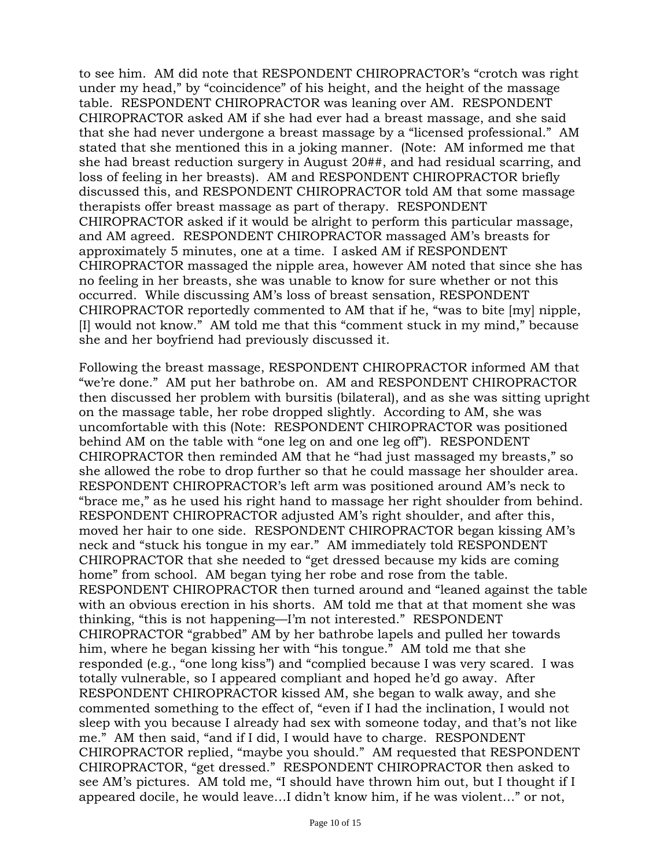to see him. AM did note that RESPONDENT CHIROPRACTOR's "crotch was right under my head," by "coincidence" of his height, and the height of the massage table. RESPONDENT CHIROPRACTOR was leaning over AM. RESPONDENT CHIROPRACTOR asked AM if she had ever had a breast massage, and she said that she had never undergone a breast massage by a "licensed professional." AM stated that she mentioned this in a joking manner. (Note: AM informed me that she had breast reduction surgery in August 20##, and had residual scarring, and loss of feeling in her breasts). AM and RESPONDENT CHIROPRACTOR briefly discussed this, and RESPONDENT CHIROPRACTOR told AM that some massage therapists offer breast massage as part of therapy. RESPONDENT CHIROPRACTOR asked if it would be alright to perform this particular massage, and AM agreed. RESPONDENT CHIROPRACTOR massaged AM's breasts for approximately 5 minutes, one at a time. I asked AM if RESPONDENT CHIROPRACTOR massaged the nipple area, however AM noted that since she has no feeling in her breasts, she was unable to know for sure whether or not this occurred. While discussing AM's loss of breast sensation, RESPONDENT CHIROPRACTOR reportedly commented to AM that if he, "was to bite [my] nipple, [I] would not know." AM told me that this "comment stuck in my mind," because she and her boyfriend had previously discussed it.

Following the breast massage, RESPONDENT CHIROPRACTOR informed AM that "we're done." AM put her bathrobe on. AM and RESPONDENT CHIROPRACTOR then discussed her problem with bursitis (bilateral), and as she was sitting upright on the massage table, her robe dropped slightly. According to AM, she was uncomfortable with this (Note: RESPONDENT CHIROPRACTOR was positioned behind AM on the table with "one leg on and one leg off"). RESPONDENT CHIROPRACTOR then reminded AM that he "had just massaged my breasts," so she allowed the robe to drop further so that he could massage her shoulder area. RESPONDENT CHIROPRACTOR's left arm was positioned around AM's neck to "brace me," as he used his right hand to massage her right shoulder from behind. RESPONDENT CHIROPRACTOR adjusted AM's right shoulder, and after this, moved her hair to one side. RESPONDENT CHIROPRACTOR began kissing AM's neck and "stuck his tongue in my ear." AM immediately told RESPONDENT CHIROPRACTOR that she needed to "get dressed because my kids are coming home" from school. AM began tying her robe and rose from the table. RESPONDENT CHIROPRACTOR then turned around and "leaned against the table with an obvious erection in his shorts. AM told me that at that moment she was thinking, "this is not happening—I'm not interested." RESPONDENT CHIROPRACTOR "grabbed" AM by her bathrobe lapels and pulled her towards him, where he began kissing her with "his tongue." AM told me that she responded (e.g., "one long kiss") and "complied because I was very scared. I was totally vulnerable, so I appeared compliant and hoped he'd go away. After RESPONDENT CHIROPRACTOR kissed AM, she began to walk away, and she commented something to the effect of, "even if I had the inclination, I would not sleep with you because I already had sex with someone today, and that's not like me." AM then said, "and if I did, I would have to charge. RESPONDENT CHIROPRACTOR replied, "maybe you should." AM requested that RESPONDENT CHIROPRACTOR, "get dressed." RESPONDENT CHIROPRACTOR then asked to see AM's pictures. AM told me, "I should have thrown him out, but I thought if I appeared docile, he would leave…I didn't know him, if he was violent…" or not,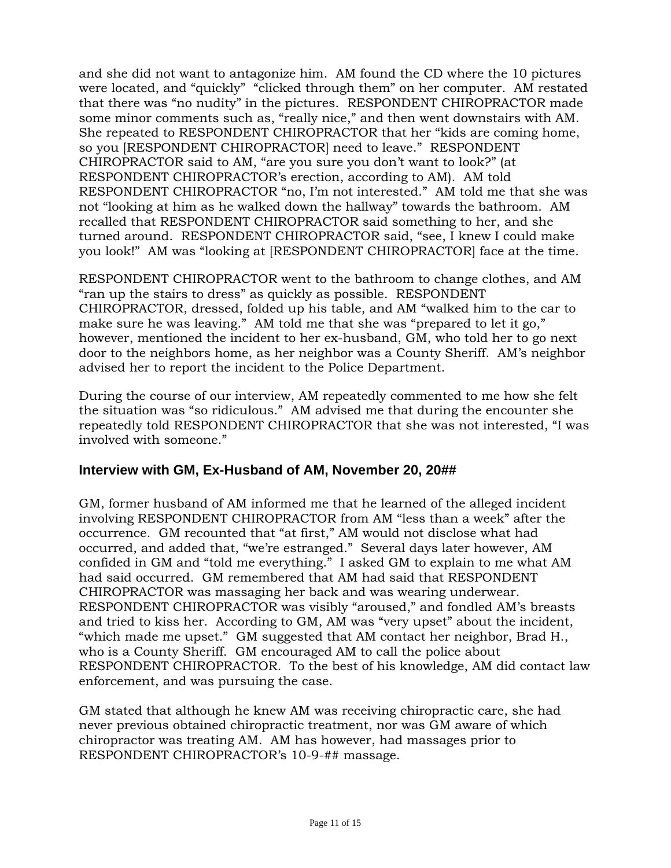and she did not want to antagonize him. AM found the CD where the 10 pictures were located, and "quickly" "clicked through them" on her computer. AM restated that there was "no nudity" in the pictures. RESPONDENT CHIROPRACTOR made some minor comments such as, "really nice," and then went downstairs with AM. She repeated to RESPONDENT CHIROPRACTOR that her "kids are coming home, so you [RESPONDENT CHIROPRACTOR] need to leave." RESPONDENT CHIROPRACTOR said to AM, "are you sure you don't want to look?" (at RESPONDENT CHIROPRACTOR's erection, according to AM). AM told RESPONDENT CHIROPRACTOR "no, I'm not interested." AM told me that she was not "looking at him as he walked down the hallway" towards the bathroom. AM recalled that RESPONDENT CHIROPRACTOR said something to her, and she turned around. RESPONDENT CHIROPRACTOR said, "see, I knew I could make you look!" AM was "looking at [RESPONDENT CHIROPRACTOR] face at the time.

RESPONDENT CHIROPRACTOR went to the bathroom to change clothes, and AM "ran up the stairs to dress" as quickly as possible. RESPONDENT CHIROPRACTOR, dressed, folded up his table, and AM "walked him to the car to make sure he was leaving." AM told me that she was "prepared to let it go," however, mentioned the incident to her ex-husband, GM, who told her to go next door to the neighbors home, as her neighbor was a County Sheriff. AM's neighbor advised her to report the incident to the Police Department.

During the course of our interview, AM repeatedly commented to me how she felt the situation was "so ridiculous." AM advised me that during the encounter she repeatedly told RESPONDENT CHIROPRACTOR that she was not interested, "I was involved with someone."

#### **Interview with GM, Ex-Husband of AM, November 20, 20##**

GM, former husband of AM informed me that he learned of the alleged incident involving RESPONDENT CHIROPRACTOR from AM "less than a week" after the occurrence. GM recounted that "at first," AM would not disclose what had occurred, and added that, "we're estranged." Several days later however, AM confided in GM and "told me everything." I asked GM to explain to me what AM had said occurred. GM remembered that AM had said that RESPONDENT CHIROPRACTOR was massaging her back and was wearing underwear. RESPONDENT CHIROPRACTOR was visibly "aroused," and fondled AM's breasts and tried to kiss her. According to GM, AM was "very upset" about the incident, "which made me upset." GM suggested that AM contact her neighbor, Brad H., who is a County Sheriff. GM encouraged AM to call the police about RESPONDENT CHIROPRACTOR. To the best of his knowledge, AM did contact law enforcement, and was pursuing the case.

GM stated that although he knew AM was receiving chiropractic care, she had never previous obtained chiropractic treatment, nor was GM aware of which chiropractor was treating AM. AM has however, had massages prior to RESPONDENT CHIROPRACTOR's 10-9-## massage.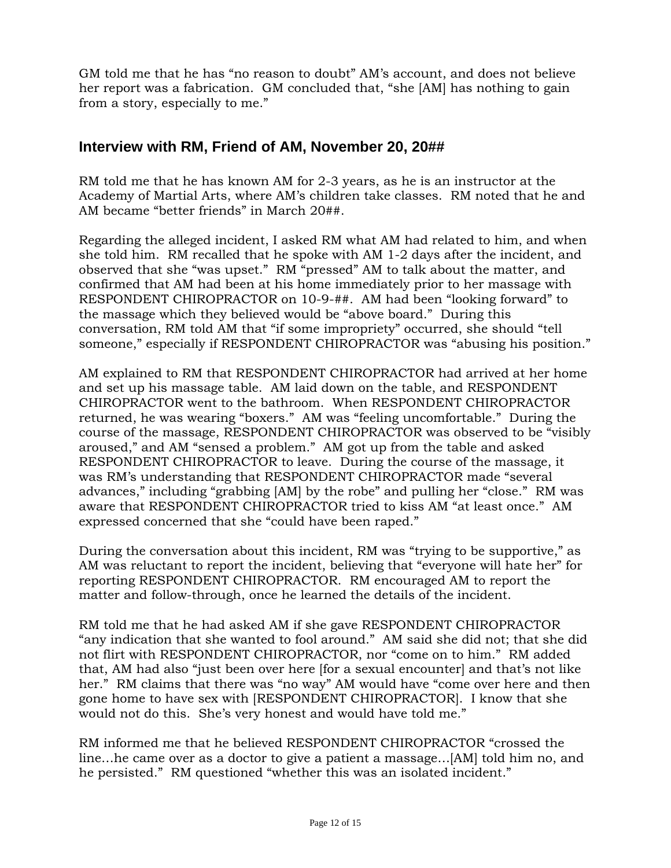GM told me that he has "no reason to doubt" AM's account, and does not believe her report was a fabrication. GM concluded that, "she [AM] has nothing to gain from a story, especially to me."

## **Interview with RM, Friend of AM, November 20, 20##**

RM told me that he has known AM for 2-3 years, as he is an instructor at the Academy of Martial Arts, where AM's children take classes. RM noted that he and AM became "better friends" in March 20##.

Regarding the alleged incident, I asked RM what AM had related to him, and when she told him. RM recalled that he spoke with AM 1-2 days after the incident, and observed that she "was upset." RM "pressed" AM to talk about the matter, and confirmed that AM had been at his home immediately prior to her massage with RESPONDENT CHIROPRACTOR on 10-9-##. AM had been "looking forward" to the massage which they believed would be "above board." During this conversation, RM told AM that "if some impropriety" occurred, she should "tell someone," especially if RESPONDENT CHIROPRACTOR was "abusing his position."

AM explained to RM that RESPONDENT CHIROPRACTOR had arrived at her home and set up his massage table. AM laid down on the table, and RESPONDENT CHIROPRACTOR went to the bathroom. When RESPONDENT CHIROPRACTOR returned, he was wearing "boxers." AM was "feeling uncomfortable." During the course of the massage, RESPONDENT CHIROPRACTOR was observed to be "visibly aroused," and AM "sensed a problem." AM got up from the table and asked RESPONDENT CHIROPRACTOR to leave. During the course of the massage, it was RM's understanding that RESPONDENT CHIROPRACTOR made "several advances," including "grabbing [AM] by the robe" and pulling her "close." RM was aware that RESPONDENT CHIROPRACTOR tried to kiss AM "at least once." AM expressed concerned that she "could have been raped."

During the conversation about this incident, RM was "trying to be supportive," as AM was reluctant to report the incident, believing that "everyone will hate her" for reporting RESPONDENT CHIROPRACTOR. RM encouraged AM to report the matter and follow-through, once he learned the details of the incident.

RM told me that he had asked AM if she gave RESPONDENT CHIROPRACTOR "any indication that she wanted to fool around." AM said she did not; that she did not flirt with RESPONDENT CHIROPRACTOR, nor "come on to him." RM added that, AM had also "just been over here [for a sexual encounter] and that's not like her." RM claims that there was "no way" AM would have "come over here and then gone home to have sex with [RESPONDENT CHIROPRACTOR]. I know that she would not do this. She's very honest and would have told me."

RM informed me that he believed RESPONDENT CHIROPRACTOR "crossed the line…he came over as a doctor to give a patient a massage…[AM] told him no, and he persisted." RM questioned "whether this was an isolated incident."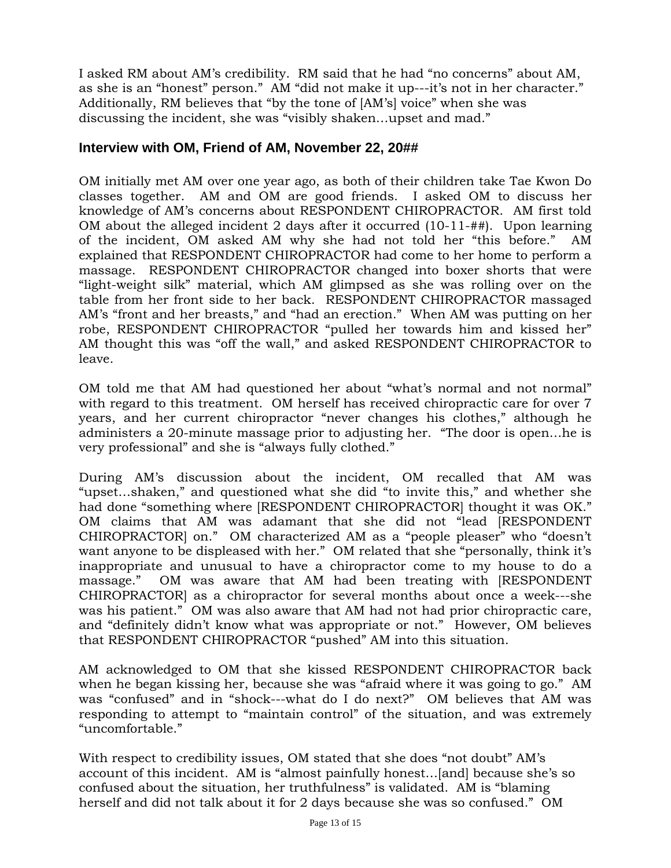I asked RM about AM's credibility. RM said that he had "no concerns" about AM, as she is an "honest" person." AM "did not make it up---it's not in her character." Additionally, RM believes that "by the tone of [AM's] voice" when she was discussing the incident, she was "visibly shaken…upset and mad."

#### **Interview with OM, Friend of AM, November 22, 20##**

OM initially met AM over one year ago, as both of their children take Tae Kwon Do classes together. AM and OM are good friends. I asked OM to discuss her knowledge of AM's concerns about RESPONDENT CHIROPRACTOR. AM first told OM about the alleged incident 2 days after it occurred (10-11-##). Upon learning of the incident, OM asked AM why she had not told her "this before." AM explained that RESPONDENT CHIROPRACTOR had come to her home to perform a massage. RESPONDENT CHIROPRACTOR changed into boxer shorts that were "light-weight silk" material, which AM glimpsed as she was rolling over on the table from her front side to her back. RESPONDENT CHIROPRACTOR massaged AM's "front and her breasts," and "had an erection." When AM was putting on her robe, RESPONDENT CHIROPRACTOR "pulled her towards him and kissed her" AM thought this was "off the wall," and asked RESPONDENT CHIROPRACTOR to leave.

OM told me that AM had questioned her about "what's normal and not normal" with regard to this treatment. OM herself has received chiropractic care for over 7 years, and her current chiropractor "never changes his clothes," although he administers a 20-minute massage prior to adjusting her. "The door is open…he is very professional" and she is "always fully clothed."

During AM's discussion about the incident, OM recalled that AM was "upset…shaken," and questioned what she did "to invite this," and whether she had done "something where [RESPONDENT CHIROPRACTOR] thought it was OK." OM claims that AM was adamant that she did not "lead [RESPONDENT CHIROPRACTOR] on." OM characterized AM as a "people pleaser" who "doesn't want anyone to be displeased with her." OM related that she "personally, think it's inappropriate and unusual to have a chiropractor come to my house to do a massage." OM was aware that AM had been treating with [RESPONDENT CHIROPRACTOR] as a chiropractor for several months about once a week---she was his patient." OM was also aware that AM had not had prior chiropractic care, and "definitely didn't know what was appropriate or not." However, OM believes that RESPONDENT CHIROPRACTOR "pushed" AM into this situation.

AM acknowledged to OM that she kissed RESPONDENT CHIROPRACTOR back when he began kissing her, because she was "afraid where it was going to go." AM was "confused" and in "shock---what do I do next?" OM believes that AM was responding to attempt to "maintain control" of the situation, and was extremely "uncomfortable."

With respect to credibility issues, OM stated that she does "not doubt" AM's account of this incident. AM is "almost painfully honest…[and] because she's so confused about the situation, her truthfulness" is validated. AM is "blaming herself and did not talk about it for 2 days because she was so confused." OM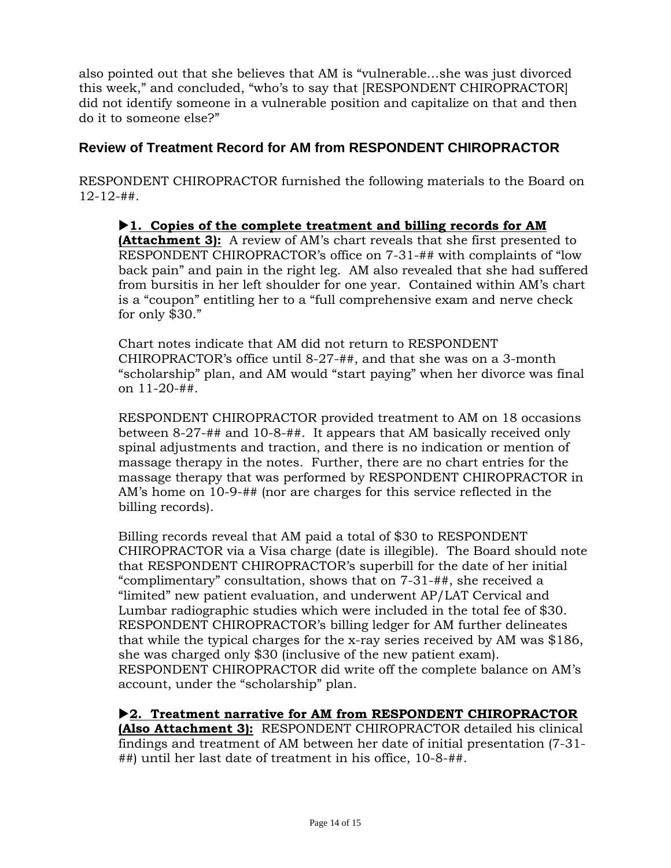also pointed out that she believes that AM is "vulnerable…she was just divorced this week," and concluded, "who's to say that [RESPONDENT CHIROPRACTOR] did not identify someone in a vulnerable position and capitalize on that and then do it to someone else?"

## **Review of Treatment Record for AM from RESPONDENT CHIROPRACTOR**

RESPONDENT CHIROPRACTOR furnished the following materials to the Board on 12-12-##.

X**1. Copies of the complete treatment and billing records for AM (Attachment 3):** A review of AM's chart reveals that she first presented to RESPONDENT CHIROPRACTOR's office on 7-31-## with complaints of "low back pain" and pain in the right leg. AM also revealed that she had suffered from bursitis in her left shoulder for one year. Contained within AM's chart is a "coupon" entitling her to a "full comprehensive exam and nerve check for only \$30."

Chart notes indicate that AM did not return to RESPONDENT CHIROPRACTOR's office until 8-27-##, and that she was on a 3-month "scholarship" plan, and AM would "start paying" when her divorce was final on 11-20-##.

RESPONDENT CHIROPRACTOR provided treatment to AM on 18 occasions between 8-27-## and 10-8-##. It appears that AM basically received only spinal adjustments and traction, and there is no indication or mention of massage therapy in the notes. Further, there are no chart entries for the massage therapy that was performed by RESPONDENT CHIROPRACTOR in AM's home on 10-9-## (nor are charges for this service reflected in the billing records).

Billing records reveal that AM paid a total of \$30 to RESPONDENT CHIROPRACTOR via a Visa charge (date is illegible). The Board should note that RESPONDENT CHIROPRACTOR's superbill for the date of her initial "complimentary" consultation, shows that on 7-31-##, she received a "limited" new patient evaluation, and underwent AP/LAT Cervical and Lumbar radiographic studies which were included in the total fee of \$30. RESPONDENT CHIROPRACTOR's billing ledger for AM further delineates that while the typical charges for the x-ray series received by AM was \$186, she was charged only \$30 (inclusive of the new patient exam). RESPONDENT CHIROPRACTOR did write off the complete balance on AM's account, under the "scholarship" plan.

▶ 2. Treatment narrative for AM from RESPONDENT CHIROPRACTOR **(Also Attachment 3):** RESPONDENT CHIROPRACTOR detailed his clinical findings and treatment of AM between her date of initial presentation (7-31- ##) until her last date of treatment in his office, 10-8-##.